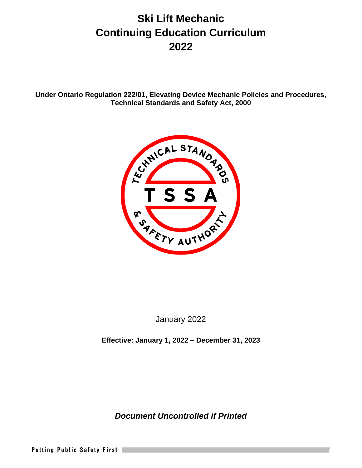# **Ski Lift Mechanic Continuing Education Curriculum 2022**

**Under Ontario Regulation 222/01, Elevating Device Mechanic Policies and Procedures, Technical Standards and Safety Act, 2000**



January 2022

**Effective: January 1, 2022 – December 31, 2023**

*Document Uncontrolled if Printed*

Putting Public Safety First |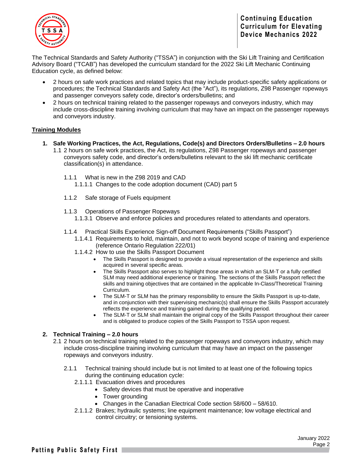

The Technical Standards and Safety Authority ("TSSA") in conjunction with the Ski Lift Training and Certification Advisory Board ("TCAB") has developed the curriculum standard for the 2022 Ski Lift Mechanic Continuing Education cycle, as defined below:

- 2 hours on safe work practices and related topics that may include product-specific safety applications or procedures; the Technical Standards and Safety Act (the "Act"), its regulations, Z98 Passenger ropeways and passenger conveyors safety code, director's orders/bulletins; and
- 2 hours on technical training related to the passenger ropeways and conveyors industry, which may include cross-discipline training involving curriculum that may have an impact on the passenger ropeways and conveyors industry.

## **Training Modules**

- **1. Safe Working Practices, the Act, Regulations, Code(s) and Directors Orders/Bulletins – 2.0 hours** 
	- 1.1 2 hours on safe work practices, the Act, its regulations, Z98 Passenger ropeways and passenger conveyors safety code, and director's orders/bulletins relevant to the ski lift mechanic certificate classification(s) in attendance.
		- 1.1.1 What is new in the Z98 2019 and CAD 1.1.1.1 Changes to the code adoption document (CAD) part 5
		- 1.1.2 Safe storage of Fuels equipment
		-
		- 1.1.3 Operations of Passenger Ropeways
			- 1.1.3.1 Observe and enforce policies and procedures related to attendants and operators.
		- 1.1.4 Practical Skills Experience Sign-off Document Requirements ("Skills Passport")
			- 1.1.4.1 Requirements to hold, maintain, and not to work beyond scope of training and experience (reference Ontario Regulation 222/01)
			- 1.1.4.2 How to use the Skills Passport Document
				- The Skills Passport is designed to provide a visual representation of the experience and skills acquired in several specific areas.
				- The Skills Passport also serves to highlight those areas in which an SLM-T or a fully certified SLM may need additional experience or training. The sections of the Skills Passport reflect the skills and training objectives that are contained in the applicable In-Class/Theoretical Training Curriculum.
				- The SLM-T or SLM has the primary responsibility to ensure the Skills Passport is up-to-date, and in conjunction with their supervising mechanic(s) shall ensure the Skills Passport accurately reflects the experience and training gained during the qualifying period.
				- The SLM-T or SLM shall maintain the original copy of the Skills Passport throughout their career and is obligated to produce copies of the Skills Passport to TSSA upon request.

### **2. Technical Training – 2.0 hours**

- 2.1 2 hours on technical training related to the passenger ropeways and conveyors industry, which may include cross-discipline training involving curriculum that may have an impact on the passenger ropeways and conveyors industry.
	- 2.1.1 Technical training should include but is not limited to at least one of the following topics during the continuing education cycle:
		- 2.1.1.1 Evacuation drives and procedures
			- Safety devices that must be operative and inoperative
			- Tower grounding
			- Changes in the Canadian Electrical Code section 58/600 58/610.
		- 2.1.1.2 Brakes; hydraulic systems; line equipment maintenance; low voltage electrical and control circuitry; or tensioning systems.